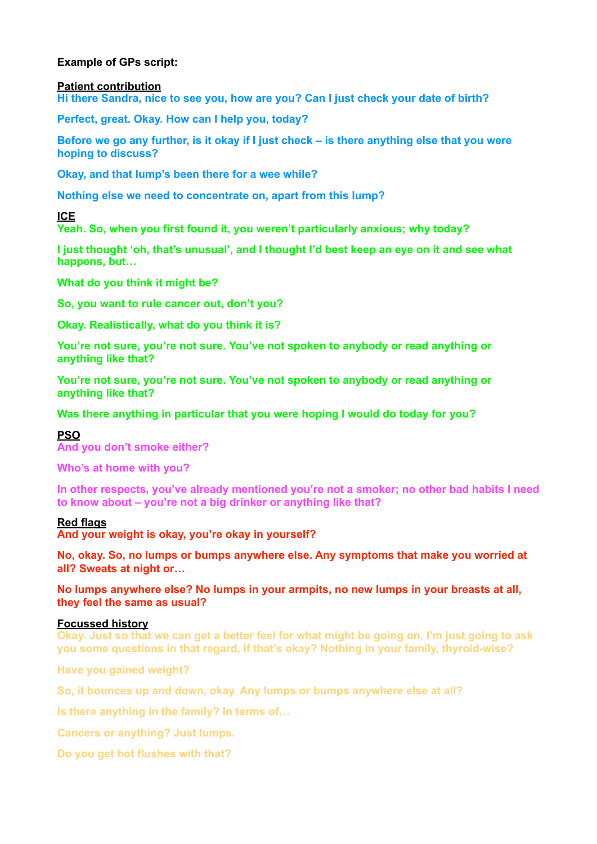# **Example of GPs script:**

### **Patient contribution**

**Hi there Sandra, nice to see you, how are you? Can I just check your date of birth?** 

**Perfect, great. Okay. How can I help you, today?** 

**Before we go any further, is it okay if I just check – is there anything else that you were hoping to discuss?** 

**Okay, and that lump's been there for a wee while?** 

**Nothing else we need to concentrate on, apart from this lump?**

**ICE** 

**Yeah. So, when you first found it, you weren't particularly anxious; why today?** 

**I just thought 'oh, that's unusual', and I thought I'd best keep an eye on it and see what happens, but…** 

**What do you think it might be?** 

**So, you want to rule cancer out, don't you?** 

**Okay. Realistically, what do you think it is?** 

**You're not sure, you're not sure. You've not spoken to anybody or read anything or anything like that?** 

**You're not sure, you're not sure. You've not spoken to anybody or read anything or anything like that?** 

**Was there anything in particular that you were hoping I would do today for you?** 

## **PSO**

**And you don't smoke either?** 

**Who's at home with you?** 

**In other respects, you've already mentioned you're not a smoker; no other bad habits I need to know about – you're not a big drinker or anything like that?**

## **Red flags**

**And your weight is okay, you're okay in yourself?**

**No, okay. So, no lumps or bumps anywhere else. Any symptoms that make you worried at all? Sweats at night or…** 

**No lumps anywhere else? No lumps in your armpits, no new lumps in your breasts at all, they feel the same as usual?** 

## **Focussed history**

**Okay. Just so that we can get a better feel for what might be going on, I'm just going to ask you some questions in that regard, if that's okay? Nothing in your family, thyroid-wise?**

**Have you gained weight?** 

**So, it bounces up and down, okay. Any lumps or bumps anywhere else at all?** 

**Is there anything in the family? In terms of…** 

**Cancers or anything? Just lumps.** 

**Do you get hot flushes with that?**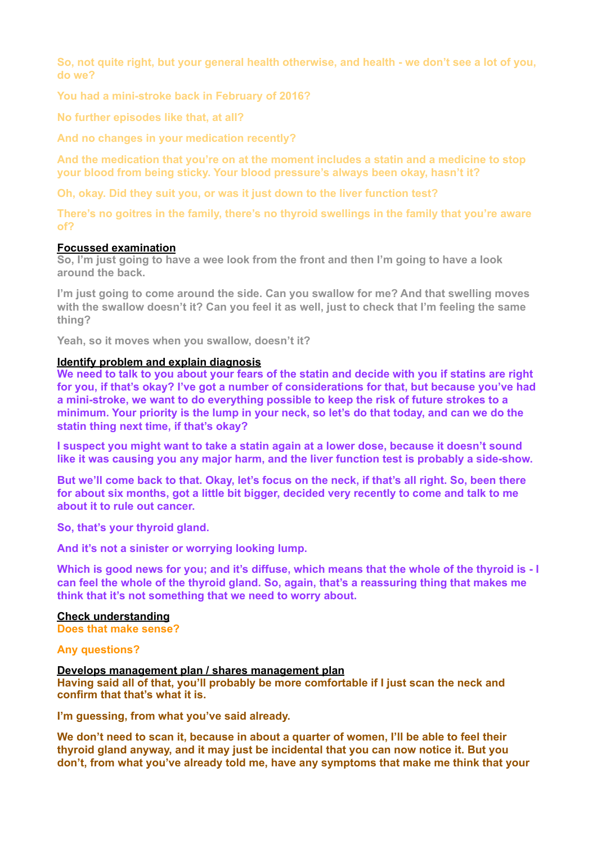**So, not quite right, but your general health otherwise, and health - we don't see a lot of you, do we?** 

**You had a mini-stroke back in February of 2016?** 

**No further episodes like that, at all?** 

**And no changes in your medication recently?** 

**And the medication that you're on at the moment includes a statin and a medicine to stop your blood from being sticky. Your blood pressure's always been okay, hasn't it?** 

**Oh, okay. Did they suit you, or was it just down to the liver function test?** 

**There's no goitres in the family, there's no thyroid swellings in the family that you're aware of?**

## **Focussed examination**

**So, I'm just going to have a wee look from the front and then I'm going to have a look around the back.** 

**I'm just going to come around the side. Can you swallow for me? And that swelling moves with the swallow doesn't it? Can you feel it as well, just to check that I'm feeling the same thing?** 

**Yeah, so it moves when you swallow, doesn't it?** 

### **Identify problem and explain diagnosis**

**We need to talk to you about your fears of the statin and decide with you if statins are right for you, if that's okay? I've got a number of considerations for that, but because you've had a mini-stroke, we want to do everything possible to keep the risk of future strokes to a minimum. Your priority is the lump in your neck, so let's do that today, and can we do the statin thing next time, if that's okay?** 

**I suspect you might want to take a statin again at a lower dose, because it doesn't sound like it was causing you any major harm, and the liver function test is probably a side-show.** 

**But we'll come back to that. Okay, let's focus on the neck, if that's all right. So, been there for about six months, got a little bit bigger, decided very recently to come and talk to me about it to rule out cancer.** 

**So, that's your thyroid gland.** 

**And it's not a sinister or worrying looking lump.** 

**Which is good news for you; and it's diffuse, which means that the whole of the thyroid is - I can feel the whole of the thyroid gland. So, again, that's a reassuring thing that makes me think that it's not something that we need to worry about.** 

## **Check understanding**

**Does that make sense?** 

### **Any questions?**

# **Develops management plan / shares management plan**

**Having said all of that, you'll probably be more comfortable if I just scan the neck and confirm that that's what it is.** 

**I'm guessing, from what you've said already.** 

**We don't need to scan it, because in about a quarter of women, I'll be able to feel their thyroid gland anyway, and it may just be incidental that you can now notice it. But you don't, from what you've already told me, have any symptoms that make me think that your**